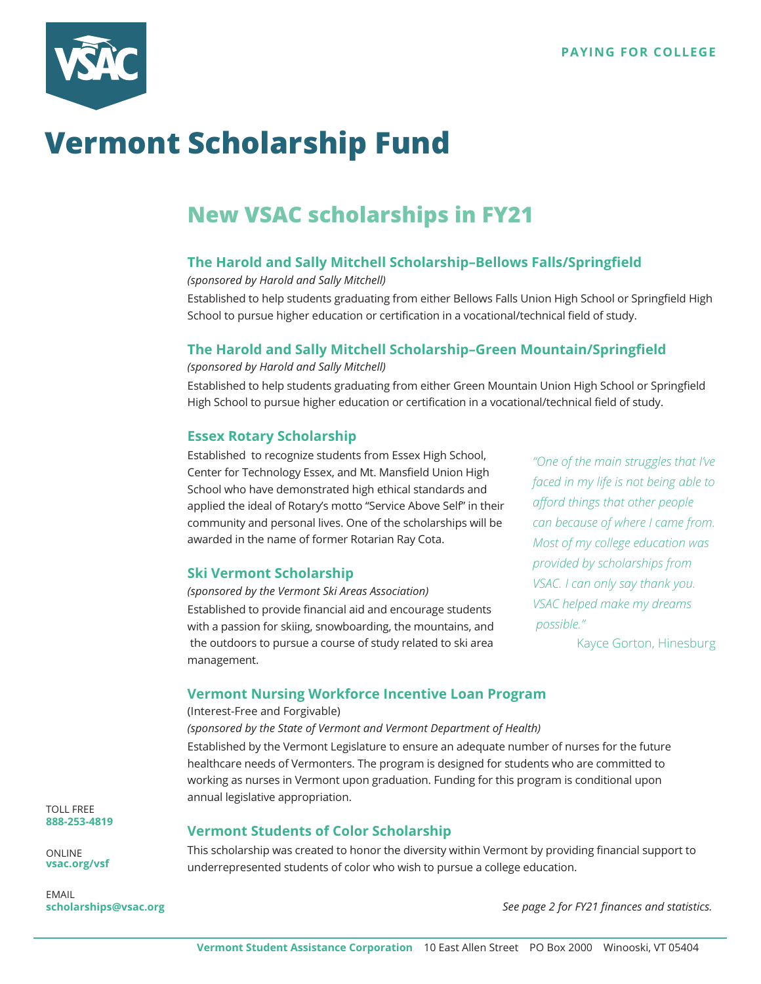

# **Vermont Scholarship Fund**

## **New VSAC scholarships in FY21**

#### **The Harold and Sally Mitchell Scholarship–Bellows Falls/Springfield**

*(sponsored by Harold and Sally Mitchell)* 

Established to help students graduating from either Bellows Falls Union High School or Springfield High School to pursue higher education or certification in a vocational/technical field of study.

#### **The Harold and Sally Mitchell Scholarship–Green Mountain/Springfield**

*(sponsored by Harold and Sally Mitchell)* 

Established to help students graduating from either Green Mountain Union High School or Springfield High School to pursue higher education or certification in a vocational/technical field of study.

#### **Essex Rotary Scholarship**

Established to recognize students from Essex High School, Center for Technology Essex, and Mt. Mansfield Union High School who have demonstrated high ethical standards and applied the ideal of Rotary's motto "Service Above Self" in their community and personal lives. One of the scholarships will be awarded in the name of former Rotarian Ray Cota.

#### **Ski Vermont Scholarship**

*(sponsored by the Vermont Ski Areas Association)*  Established to provide financial aid and encourage students with a passion for skiing, snowboarding, the mountains, and the outdoors to pursue a course of study related to ski area management.

**Vermont Students of Color Scholarship** 

*"One of the main struggles that I've faced in my life is not being able to afford things that other people can because of where I came from. Most of my college education was provided by scholarships from VSAC. I can only say thank you. VSAC helped make my dreams possible."*

 $\mathcal{L}_{\mathcal{A}}$ 

#### **Vermont Nursing Workforce Incentive Loan Program**

#### (Interest-Free and Forgivable)

*(sponsored by the State of Vermont and Vermont Department of Health)* 

Established by the Vermont Legislature to ensure an adequate number of nurses for the future healthcare needs of Vermonters. The program is designed for students who are committed to working as nurses in Vermont upon graduation. Funding for this program is conditional upon annual legislative appropriation.

TOLL FREE **888-253-4819**

ONLINE **vsac.org/vsf**

EMAIL **scholarships@vsac.org** This scholarship was created to honor the diversity within Vermont by providing financial support to underrepresented students of color who wish to pursue a college education.

*See page 2 for FY21 finances and statistics.*